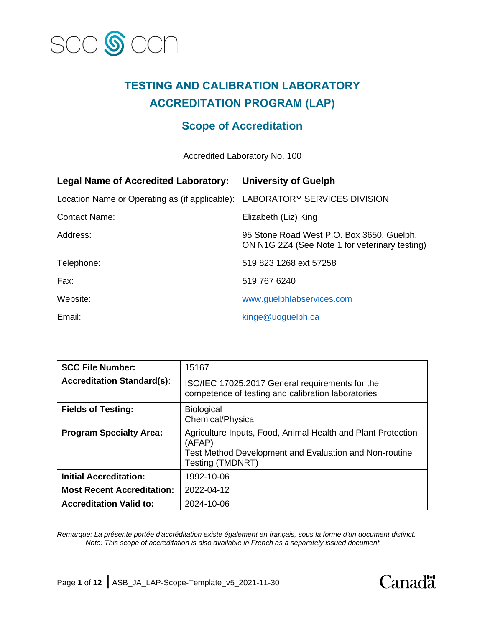

# **TESTING AND CALIBRATION LABORATORY ACCREDITATION PROGRAM (LAP)**

## **Scope of Accreditation**

Accredited Laboratory No. 100

| <b>Legal Name of Accredited Laboratory:</b>                                 | <b>University of Guelph</b>                                                                 |
|-----------------------------------------------------------------------------|---------------------------------------------------------------------------------------------|
| Location Name or Operating as (if applicable): LABORATORY SERVICES DIVISION |                                                                                             |
| <b>Contact Name:</b>                                                        | Elizabeth (Liz) King                                                                        |
| Address:                                                                    | 95 Stone Road West P.O. Box 3650, Guelph,<br>ON N1G 2Z4 (See Note 1 for veterinary testing) |
| Telephone:                                                                  | 519 823 1268 ext 57258                                                                      |
| Fax:                                                                        | 519 767 6240                                                                                |
| Website:                                                                    | www.guelphlabservices.com                                                                   |
| Email:                                                                      | kinge@uoguelph.ca                                                                           |

| <b>SCC File Number:</b>           | 15167                                                                                                                                                |
|-----------------------------------|------------------------------------------------------------------------------------------------------------------------------------------------------|
| <b>Accreditation Standard(s):</b> | ISO/IEC 17025:2017 General requirements for the<br>competence of testing and calibration laboratories                                                |
| <b>Fields of Testing:</b>         | <b>Biological</b><br>Chemical/Physical                                                                                                               |
| <b>Program Specialty Area:</b>    | Agriculture Inputs, Food, Animal Health and Plant Protection<br>(AFAP)<br>Test Method Development and Evaluation and Non-routine<br>Testing (TMDNRT) |
| <b>Initial Accreditation:</b>     | 1992-10-06                                                                                                                                           |
| <b>Most Recent Accreditation:</b> | 2022-04-12                                                                                                                                           |
| <b>Accreditation Valid to:</b>    | 2024-10-06                                                                                                                                           |

*Remarque: La présente portée d'accréditation existe également en français, sous la forme d'un document distinct. Note: This scope of accreditation is also available in French as a separately issued document.*

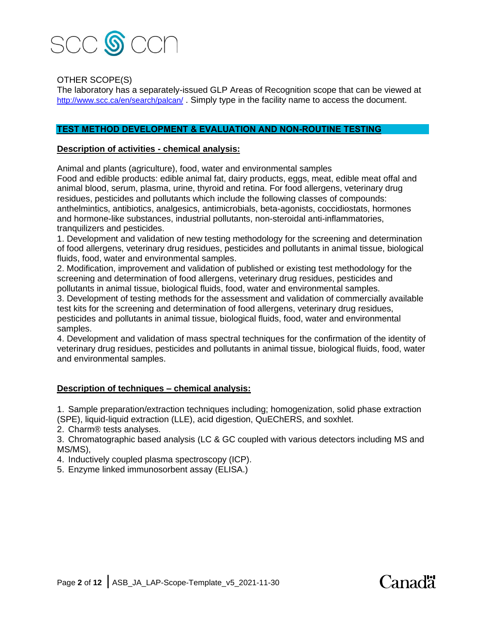

## OTHER SCOPE(S)

The laboratory has a separately-issued GLP Areas of Recognition scope that can be viewed at <http://www.scc.ca/en/search/palcan/> . Simply type in the facility name to access the document.

#### **TEST METHOD DEVELOPMENT & EVALUATION AND NON-ROUTINE TESTING**

#### **Description of activities - chemical analysis:**

Animal and plants (agriculture), food, water and environmental samples

Food and edible products: edible animal fat, dairy products, eggs, meat, edible meat offal and animal blood, serum, plasma, urine, thyroid and retina. For food allergens, veterinary drug residues, pesticides and pollutants which include the following classes of compounds: anthelmintics, antibiotics, analgesics, antimicrobials, beta-agonists, coccidiostats, hormones and hormone-like substances, industrial pollutants, non-steroidal anti-inflammatories, tranquilizers and pesticides.

1. Development and validation of new testing methodology for the screening and determination of food allergens, veterinary drug residues, pesticides and pollutants in animal tissue, biological fluids, food, water and environmental samples.

2. Modification, improvement and validation of published or existing test methodology for the screening and determination of food allergens, veterinary drug residues, pesticides and pollutants in animal tissue, biological fluids, food, water and environmental samples.

3. Development of testing methods for the assessment and validation of commercially available test kits for the screening and determination of food allergens, veterinary drug residues, pesticides and pollutants in animal tissue, biological fluids, food, water and environmental samples.

4. Development and validation of mass spectral techniques for the confirmation of the identity of veterinary drug residues, pesticides and pollutants in animal tissue, biological fluids, food, water and environmental samples.

#### **Description of techniques – chemical analysis:**

1. Sample preparation/extraction techniques including; homogenization, solid phase extraction (SPE), liquid-liquid extraction (LLE), acid digestion, QuEChERS, and soxhlet.

2. Charm® tests analyses.

3. Chromatographic based analysis (LC & GC coupled with various detectors including MS and MS/MS),

Canadä<sup>\*</sup>

4. Inductively coupled plasma spectroscopy (ICP).

5. Enzyme linked immunosorbent assay (ELISA.)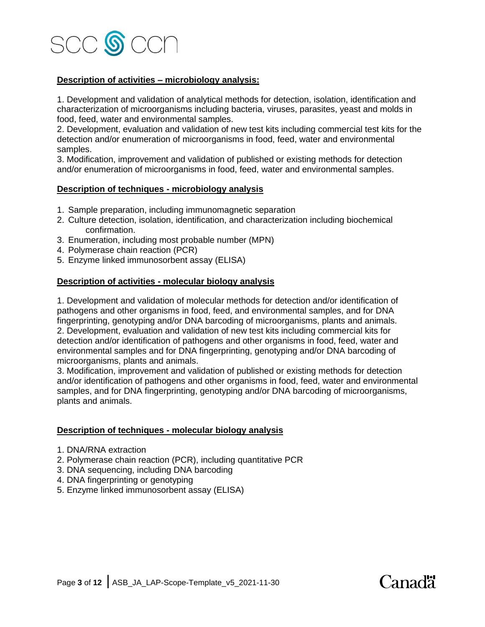

### **Description of activities – microbiology analysis:**

1. Development and validation of analytical methods for detection, isolation, identification and characterization of microorganisms including bacteria, viruses, parasites, yeast and molds in food, feed, water and environmental samples.

2. Development, evaluation and validation of new test kits including commercial test kits for the detection and/or enumeration of microorganisms in food, feed, water and environmental samples.

3. Modification, improvement and validation of published or existing methods for detection and/or enumeration of microorganisms in food, feed, water and environmental samples.

#### **Description of techniques - microbiology analysis**

- 1. Sample preparation, including immunomagnetic separation
- 2. Culture detection, isolation, identification, and characterization including biochemical confirmation.
- 3. Enumeration, including most probable number (MPN)
- 4. Polymerase chain reaction (PCR)
- 5. Enzyme linked immunosorbent assay (ELISA)

#### **Description of activities - molecular biology analysis**

1. Development and validation of molecular methods for detection and/or identification of pathogens and other organisms in food, feed, and environmental samples, and for DNA fingerprinting, genotyping and/or DNA barcoding of microorganisms, plants and animals. 2. Development, evaluation and validation of new test kits including commercial kits for detection and/or identification of pathogens and other organisms in food, feed, water and environmental samples and for DNA fingerprinting, genotyping and/or DNA barcoding of microorganisms, plants and animals.

3. Modification, improvement and validation of published or existing methods for detection and/or identification of pathogens and other organisms in food, feed, water and environmental samples, and for DNA fingerprinting, genotyping and/or DNA barcoding of microorganisms, plants and animals.

#### **Description of techniques - molecular biology analysis**

- 1. DNA/RNA extraction
- 2. Polymerase chain reaction (PCR), including quantitative PCR
- 3. DNA sequencing, including DNA barcoding
- 4. DNA fingerprinting or genotyping
- 5. Enzyme linked immunosorbent assay (ELISA)

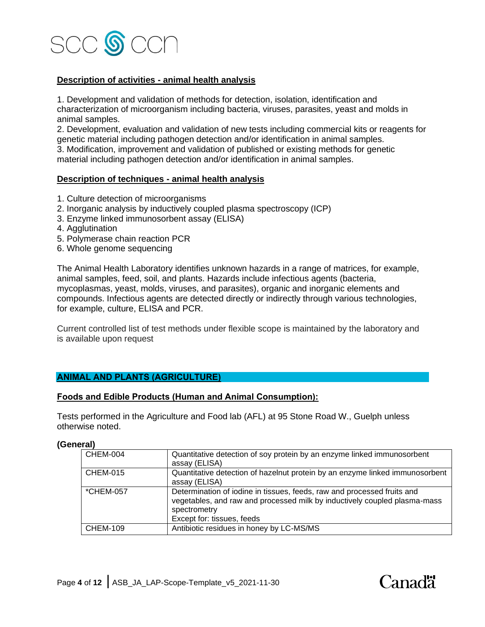

## **Description of activities - animal health analysis**

1. Development and validation of methods for detection, isolation, identification and characterization of microorganism including bacteria, viruses, parasites, yeast and molds in animal samples.

2. Development, evaluation and validation of new tests including commercial kits or reagents for genetic material including pathogen detection and/or identification in animal samples.

3. Modification, improvement and validation of published or existing methods for genetic material including pathogen detection and/or identification in animal samples.

#### **Description of techniques - animal health analysis**

- 1. Culture detection of microorganisms
- 2. Inorganic analysis by inductively coupled plasma spectroscopy (ICP)
- 3. Enzyme linked immunosorbent assay (ELISA)
- 4. Agglutination
- 5. Polymerase chain reaction PCR
- 6. Whole genome sequencing

The Animal Health Laboratory identifies unknown hazards in a range of matrices, for example, animal samples, feed, soil, and plants. Hazards include infectious agents (bacteria, mycoplasmas, yeast, molds, viruses, and parasites), organic and inorganic elements and compounds. Infectious agents are detected directly or indirectly through various technologies, for example, culture, ELISA and PCR.

Current controlled list of test methods under flexible scope is maintained by the laboratory and is available upon request

#### **ANIMAL AND PLANTS (AGRICULTURE)**

#### **Foods and Edible Products (Human and Animal Consumption):**

Tests performed in the Agriculture and Food lab (AFL) at 95 Stone Road W., Guelph unless otherwise noted.

**(General)**

| <b>CHEM-004</b> | Quantitative detection of soy protein by an enzyme linked immunosorbent<br>assay (ELISA)                                                                                                           |
|-----------------|----------------------------------------------------------------------------------------------------------------------------------------------------------------------------------------------------|
| <b>CHEM-015</b> | Quantitative detection of hazelnut protein by an enzyme linked immunosorbent<br>assay (ELISA)                                                                                                      |
| *CHEM-057       | Determination of iodine in tissues, feeds, raw and processed fruits and<br>vegetables, and raw and processed milk by inductively coupled plasma-mass<br>spectrometry<br>Except for: tissues, feeds |
| <b>CHEM-109</b> | Antibiotic residues in honey by LC-MS/MS                                                                                                                                                           |

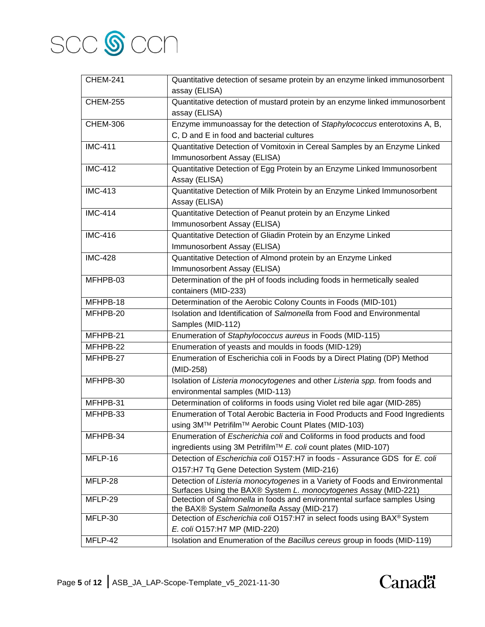

| <b>CHEM-241</b> | Quantitative detection of sesame protein by an enzyme linked immunosorbent                                             |
|-----------------|------------------------------------------------------------------------------------------------------------------------|
|                 | assay (ELISA)                                                                                                          |
| <b>CHEM-255</b> | Quantitative detection of mustard protein by an enzyme linked immunosorbent                                            |
|                 | assay (ELISA)                                                                                                          |
| <b>CHEM-306</b> | Enzyme immunoassay for the detection of Staphylococcus enterotoxins A, B,                                              |
|                 | C, D and E in food and bacterial cultures                                                                              |
| <b>IMC-411</b>  | Quantitative Detection of Vomitoxin in Cereal Samples by an Enzyme Linked                                              |
|                 | Immunosorbent Assay (ELISA)                                                                                            |
| <b>IMC-412</b>  | Quantitative Detection of Egg Protein by an Enzyme Linked Immunosorbent                                                |
|                 | Assay (ELISA)                                                                                                          |
| <b>IMC-413</b>  | Quantitative Detection of Milk Protein by an Enzyme Linked Immunosorbent                                               |
|                 | Assay (ELISA)                                                                                                          |
| <b>IMC-414</b>  | Quantitative Detection of Peanut protein by an Enzyme Linked                                                           |
|                 | Immunosorbent Assay (ELISA)                                                                                            |
| <b>IMC-416</b>  | Quantitative Detection of Gliadin Protein by an Enzyme Linked                                                          |
|                 | Immunosorbent Assay (ELISA)                                                                                            |
| <b>IMC-428</b>  | Quantitative Detection of Almond protein by an Enzyme Linked                                                           |
|                 | Immunosorbent Assay (ELISA)                                                                                            |
| MFHPB-03        | Determination of the pH of foods including foods in hermetically sealed                                                |
|                 | containers (MID-233)                                                                                                   |
| MFHPB-18        | Determination of the Aerobic Colony Counts in Foods (MID-101)                                                          |
| MFHPB-20        | Isolation and Identification of Salmonella from Food and Environmental                                                 |
|                 | Samples (MID-112)                                                                                                      |
| MFHPB-21        | Enumeration of Staphylococcus aureus in Foods (MID-115)                                                                |
| MFHPB-22        | Enumeration of yeasts and moulds in foods (MID-129)                                                                    |
| MFHPB-27        | Enumeration of Escherichia coli in Foods by a Direct Plating (DP) Method                                               |
|                 | (MID-258)                                                                                                              |
| MFHPB-30        | Isolation of Listeria monocytogenes and other Listeria spp. from foods and                                             |
|                 | environmental samples (MID-113)                                                                                        |
| MFHPB-31        | Determination of coliforms in foods using Violet red bile agar (MID-285)                                               |
| MFHPB-33        | Enumeration of Total Aerobic Bacteria in Food Products and Food Ingredients                                            |
|                 | using 3M™ Petrifilm™ Aerobic Count Plates (MID-103)                                                                    |
| MFHPB-34        | Enumeration of Escherichia coli and Coliforms in food products and food                                                |
|                 | ingredients using 3M Petrifilm™ E. coli count plates (MID-107)                                                         |
| MFLP-16         | Detection of Escherichia coli O157:H7 in foods - Assurance GDS for E. coli                                             |
|                 | O157:H7 Tq Gene Detection System (MID-216)                                                                             |
| MFLP-28         | Detection of Listeria monocytogenes in a Variety of Foods and Environmental                                            |
|                 | Surfaces Using the BAX® System L. monocytogenes Assay (MID-221)                                                        |
| MFLP-29         | Detection of Salmonella in foods and environmental surface samples Using<br>the BAX® System Salmonella Assay (MID-217) |
| MFLP-30         | Detection of Escherichia coli O157:H7 in select foods using BAX® System                                                |
|                 | E. coli O157:H7 MP (MID-220)                                                                                           |
| MFLP-42         | Isolation and Enumeration of the Bacillus cereus group in foods (MID-119)                                              |

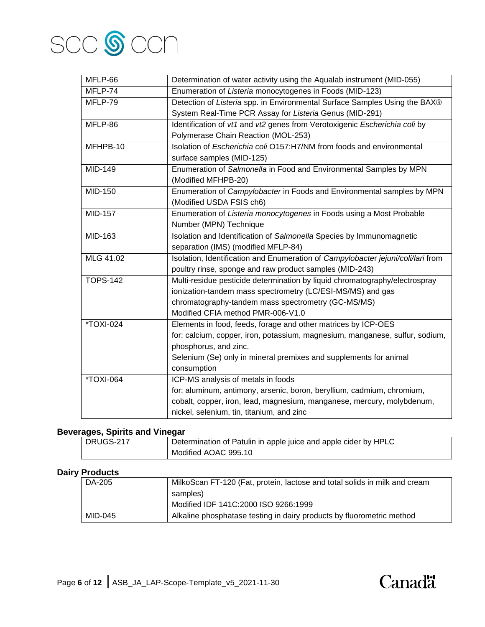

| MFLP-66          | Determination of water activity using the Aqualab instrument (MID-055)           |
|------------------|----------------------------------------------------------------------------------|
| MFLP-74          | Enumeration of Listeria monocytogenes in Foods (MID-123)                         |
| MFLP-79          | Detection of Listeria spp. in Environmental Surface Samples Using the BAX®       |
|                  | System Real-Time PCR Assay for Listeria Genus (MID-291)                          |
| MFLP-86          | Identification of vt1 and vt2 genes from Verotoxigenic Escherichia coli by       |
|                  | Polymerase Chain Reaction (MOL-253)                                              |
| MFHPB-10         | Isolation of Escherichia coli O157:H7/NM from foods and environmental            |
|                  | surface samples (MID-125)                                                        |
| MID-149          | Enumeration of Salmonella in Food and Environmental Samples by MPN               |
|                  | (Modified MFHPB-20)                                                              |
| MID-150          | Enumeration of Campylobacter in Foods and Environmental samples by MPN           |
|                  | (Modified USDA FSIS ch6)                                                         |
| <b>MID-157</b>   | Enumeration of Listeria monocytogenes in Foods using a Most Probable             |
|                  | Number (MPN) Technique                                                           |
| MID-163          | Isolation and Identification of Salmonella Species by Immunomagnetic             |
|                  | separation (IMS) (modified MFLP-84)                                              |
| MLG 41.02        | Isolation, Identification and Enumeration of Campylobacter jejuni/coli/lari from |
|                  | poultry rinse, sponge and raw product samples (MID-243)                          |
| <b>TOPS-142</b>  | Multi-residue pesticide determination by liquid chromatography/electrospray      |
|                  | ionization-tandem mass spectrometry (LC/ESI-MS/MS) and gas                       |
|                  | chromatography-tandem mass spectrometry (GC-MS/MS)                               |
|                  | Modified CFIA method PMR-006-V1.0                                                |
| *TOXI-024        | Elements in food, feeds, forage and other matrices by ICP-OES                    |
|                  | for: calcium, copper, iron, potassium, magnesium, manganese, sulfur, sodium,     |
|                  | phosphorus, and zinc.                                                            |
|                  | Selenium (Se) only in mineral premixes and supplements for animal                |
|                  | consumption                                                                      |
| <b>*TOXI-064</b> | ICP-MS analysis of metals in foods                                               |
|                  | for: aluminum, antimony, arsenic, boron, beryllium, cadmium, chromium,           |
|                  | cobalt, copper, iron, lead, magnesium, manganese, mercury, molybdenum,           |
|                  | nickel, selenium, tin, titanium, and zinc                                        |

## **Beverages, Spirits and Vinegar**

| .<br>__________ |                                                                 |
|-----------------|-----------------------------------------------------------------|
| DRUGS-217       | Determination of Patulin in apple juice and apple cider by HPLC |
|                 | Modified AOAC 995.10                                            |

## **Dairy Products**

| DA-205  | MilkoScan FT-120 (Fat, protein, lactose and total solids in milk and cream |
|---------|----------------------------------------------------------------------------|
|         | samples)                                                                   |
|         | Modified IDF 141C:2000 ISO 9266:1999                                       |
| MID-045 | Alkaline phosphatase testing in dairy products by fluorometric method      |

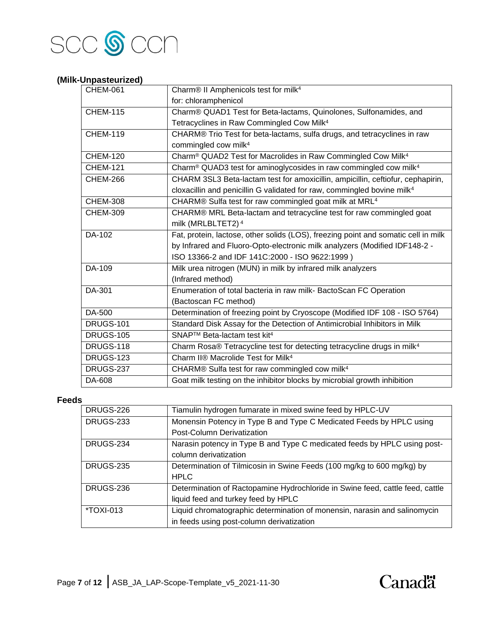

## **(Milk-Unpasteurized)**

| <b>CHEM-061</b>  | Charm® II Amphenicols test for milk <sup>4</sup>                                          |
|------------------|-------------------------------------------------------------------------------------------|
|                  | for: chloramphenicol                                                                      |
| <b>CHEM-115</b>  | Charm® QUAD1 Test for Beta-lactams, Quinolones, Sulfonamides, and                         |
|                  | Tetracyclines in Raw Commingled Cow Milk <sup>4</sup>                                     |
| <b>CHEM-119</b>  | CHARM® Trio Test for beta-lactams, sulfa drugs, and tetracyclines in raw                  |
|                  | commingled cow milk <sup>4</sup>                                                          |
| <b>CHEM-120</b>  | Charm <sup>®</sup> QUAD2 Test for Macrolides in Raw Commingled Cow Milk <sup>4</sup>      |
| <b>CHEM-121</b>  | Charm <sup>®</sup> QUAD3 test for aminoglycosides in raw commingled cow milk <sup>4</sup> |
| <b>CHEM-266</b>  | CHARM 3SL3 Beta-lactam test for amoxicillin, ampicillin, ceftiofur, cephapirin,           |
|                  | cloxacillin and penicillin G validated for raw, commingled bovine milk <sup>4</sup>       |
| <b>CHEM-308</b>  | CHARM® Sulfa test for raw commingled goat milk at MRL <sup>4</sup>                        |
| <b>CHEM-309</b>  | CHARM® MRL Beta-lactam and tetracycline test for raw commingled goat                      |
|                  | milk (MRLBLTET2) <sup>4</sup>                                                             |
| DA-102           | Fat, protein, lactose, other solids (LOS), freezing point and somatic cell in milk        |
|                  | by Infrared and Fluoro-Opto-electronic milk analyzers (Modified IDF148-2 -                |
|                  | ISO 13366-2 and IDF 141C:2000 - ISO 9622:1999)                                            |
| DA-109           | Milk urea nitrogen (MUN) in milk by infrared milk analyzers                               |
|                  | (Infrared method)                                                                         |
| DA-301           | Enumeration of total bacteria in raw milk- BactoScan FC Operation                         |
|                  | (Bactoscan FC method)                                                                     |
| DA-500           | Determination of freezing point by Cryoscope (Modified IDF 108 - ISO 5764)                |
| <b>DRUGS-101</b> | Standard Disk Assay for the Detection of Antimicrobial Inhibitors in Milk                 |
| <b>DRUGS-105</b> | SNAP™ Beta-lactam test kit <sup>4</sup>                                                   |
| <b>DRUGS-118</b> | Charm Rosa® Tetracycline test for detecting tetracycline drugs in milk <sup>4</sup>       |
| <b>DRUGS-123</b> | Charm II® Macrolide Test for Milk <sup>4</sup>                                            |
| DRUGS-237        | CHARM® Sulfa test for raw commingled cow milk <sup>4</sup>                                |
| DA-608           | Goat milk testing on the inhibitor blocks by microbial growth inhibition                  |

#### **Feeds**

| <b>DRUGS-226</b> | Tiamulin hydrogen fumarate in mixed swine feed by HPLC-UV                     |
|------------------|-------------------------------------------------------------------------------|
| <b>DRUGS-233</b> | Monensin Potency in Type B and Type C Medicated Feeds by HPLC using           |
|                  | Post-Column Derivatization                                                    |
| DRUGS-234        | Narasin potency in Type B and Type C medicated feeds by HPLC using post-      |
|                  | column derivatization                                                         |
| DRUGS-235        | Determination of Tilmicosin in Swine Feeds (100 mg/kg to 600 mg/kg) by        |
|                  | <b>HPLC</b>                                                                   |
| DRUGS-236        | Determination of Ractopamine Hydrochloride in Swine feed, cattle feed, cattle |
|                  | liquid feed and turkey feed by HPLC                                           |
| *TOXI-013        | Liquid chromatographic determination of monensin, narasin and salinomycin     |
|                  | in feeds using post-column derivatization                                     |
|                  |                                                                               |

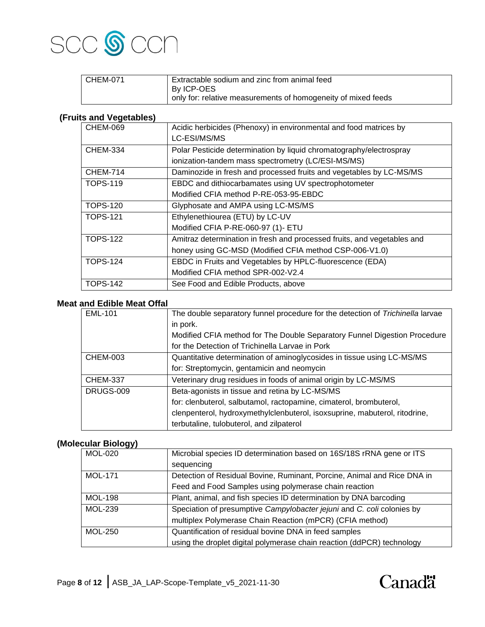

| l CHEM-071 | Extractable sodium and zinc from animal feed                  |
|------------|---------------------------------------------------------------|
|            | By ICP-OES                                                    |
|            | only for: relative measurements of homogeneity of mixed feeds |

## **(Fruits and Vegetables)**

| <b>CHEM-069</b> | Acidic herbicides (Phenoxy) in environmental and food matrices by       |
|-----------------|-------------------------------------------------------------------------|
|                 | LC-ESI/MS/MS                                                            |
| <b>CHEM-334</b> | Polar Pesticide determination by liquid chromatography/electrospray     |
|                 | ionization-tandem mass spectrometry (LC/ESI-MS/MS)                      |
| <b>CHEM-714</b> | Daminozide in fresh and processed fruits and vegetables by LC-MS/MS     |
| <b>TOPS-119</b> | EBDC and dithiocarbamates using UV spectrophotometer                    |
|                 | Modified CFIA method P-RE-053-95-EBDC                                   |
| <b>TOPS-120</b> | Glyphosate and AMPA using LC-MS/MS                                      |
| TOPS-121        | Ethylenethiourea (ETU) by LC-UV                                         |
|                 | Modified CFIA P-RE-060-97 (1)- ETU                                      |
| <b>TOPS-122</b> | Amitraz determination in fresh and processed fruits, and vegetables and |
|                 | honey using GC-MSD (Modified CFIA method CSP-006-V1.0)                  |
| <b>TOPS-124</b> | EBDC in Fruits and Vegetables by HPLC-fluorescence (EDA)                |
|                 | Modified CFIA method SPR-002-V2.4                                       |
| <b>TOPS-142</b> | See Food and Edible Products, above                                     |

#### **Meat and Edible Meat Offal**

| <b>EML-101</b>   | The double separatory funnel procedure for the detection of Trichinella larvae |
|------------------|--------------------------------------------------------------------------------|
|                  | in pork.                                                                       |
|                  | Modified CFIA method for The Double Separatory Funnel Digestion Procedure      |
|                  | for the Detection of Trichinella Larvae in Pork                                |
| <b>CHEM-003</b>  | Quantitative determination of aminoglycosides in tissue using LC-MS/MS         |
|                  | for: Streptomycin, gentamicin and neomycin                                     |
| <b>CHEM-337</b>  | Veterinary drug residues in foods of animal origin by LC-MS/MS                 |
| <b>DRUGS-009</b> | Beta-agonists in tissue and retina by LC-MS/MS                                 |
|                  | for: clenbuterol, salbutamol, ractopamine, cimaterol, brombuterol,             |
|                  | clenpenterol, hydroxymethylclenbuterol, isoxsuprine, mabuterol, ritodrine,     |
|                  | terbutaline, tulobuterol, and zilpaterol                                       |

## **(Molecular Biology)**

| <b>MOL-020</b> | Microbial species ID determination based on 16S/18S rRNA gene or ITS    |
|----------------|-------------------------------------------------------------------------|
|                | sequencing                                                              |
| <b>MOL-171</b> | Detection of Residual Bovine, Ruminant, Porcine, Animal and Rice DNA in |
|                | Feed and Food Samples using polymerase chain reaction                   |
| <b>MOL-198</b> | Plant, animal, and fish species ID determination by DNA barcoding       |
| <b>MOL-239</b> | Speciation of presumptive Campylobacter jejuni and C. coli colonies by  |
|                | multiplex Polymerase Chain Reaction (mPCR) (CFIA method)                |
| <b>MOL-250</b> | Quantification of residual bovine DNA in feed samples                   |
|                | using the droplet digital polymerase chain reaction (ddPCR) technology  |

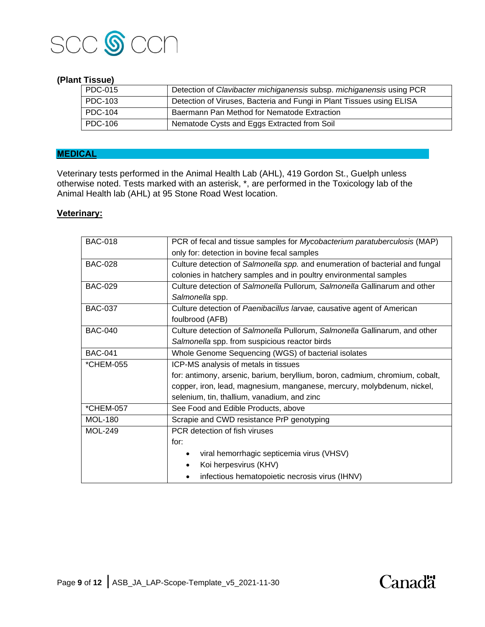

#### **(Plant Tissue)**

| PDC-015 | Detection of Clavibacter michiganensis subsp. michiganensis using PCR |
|---------|-----------------------------------------------------------------------|
| PDC-103 | Detection of Viruses, Bacteria and Fungi in Plant Tissues using ELISA |
| PDC-104 | Baermann Pan Method for Nematode Extraction                           |
| PDC-106 | Nematode Cysts and Eggs Extracted from Soil                           |

## **MEDICAL**

Veterinary tests performed in the Animal Health Lab (AHL), 419 Gordon St., Guelph unless otherwise noted. Tests marked with an asterisk, \*, are performed in the Toxicology lab of the Animal Health lab (AHL) at 95 Stone Road West location.

#### **Veterinary:**

| <b>BAC-018</b> | PCR of fecal and tissue samples for Mycobacterium paratuberculosis (MAP)     |
|----------------|------------------------------------------------------------------------------|
|                | only for: detection in bovine fecal samples                                  |
| <b>BAC-028</b> | Culture detection of Salmonella spp. and enumeration of bacterial and fungal |
|                | colonies in hatchery samples and in poultry environmental samples            |
| <b>BAC-029</b> | Culture detection of Salmonella Pullorum, Salmonella Gallinarum and other    |
|                | Salmonella spp.                                                              |
| <b>BAC-037</b> | Culture detection of Paenibacillus larvae, causative agent of American       |
|                | foulbrood (AFB)                                                              |
| <b>BAC-040</b> | Culture detection of Salmonella Pullorum, Salmonella Gallinarum, and other   |
|                | Salmonella spp. from suspicious reactor birds                                |
| <b>BAC-041</b> | Whole Genome Sequencing (WGS) of bacterial isolates                          |
| *CHEM-055      | ICP-MS analysis of metals in tissues                                         |
|                | for: antimony, arsenic, barium, beryllium, boron, cadmium, chromium, cobalt, |
|                | copper, iron, lead, magnesium, manganese, mercury, molybdenum, nickel,       |
|                | selenium, tin, thallium, vanadium, and zinc                                  |
| *CHEM-057      | See Food and Edible Products, above                                          |
| <b>MOL-180</b> | Scrapie and CWD resistance PrP genotyping                                    |
| <b>MOL-249</b> | PCR detection of fish viruses                                                |
|                | for:                                                                         |
|                | viral hemorrhagic septicemia virus (VHSV)                                    |
|                | Koi herpesvirus (KHV)                                                        |
|                | infectious hematopoietic necrosis virus (IHNV)                               |
|                |                                                                              |

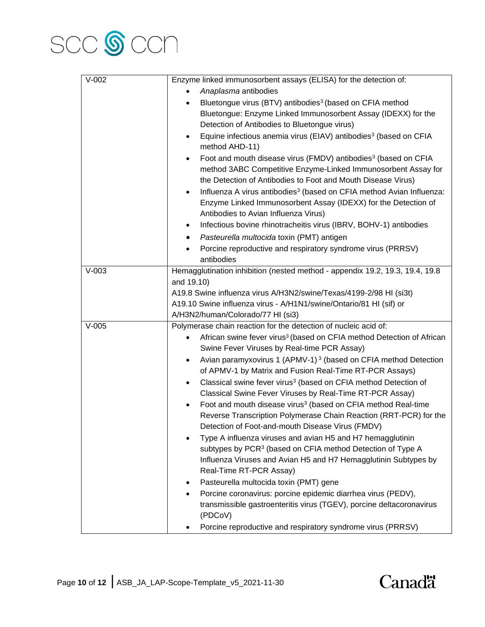

| $V-002$ | Enzyme linked immunosorbent assays (ELISA) for the detection of:                                                                                                                                                                                                                                                                                                                                                                    |
|---------|-------------------------------------------------------------------------------------------------------------------------------------------------------------------------------------------------------------------------------------------------------------------------------------------------------------------------------------------------------------------------------------------------------------------------------------|
|         | Anaplasma antibodies                                                                                                                                                                                                                                                                                                                                                                                                                |
|         | Bluetongue virus (BTV) antibodies <sup>3</sup> (based on CFIA method                                                                                                                                                                                                                                                                                                                                                                |
|         | Bluetongue: Enzyme Linked Immunosorbent Assay (IDEXX) for the                                                                                                                                                                                                                                                                                                                                                                       |
|         | Detection of Antibodies to Bluetongue virus)                                                                                                                                                                                                                                                                                                                                                                                        |
|         | Equine infectious anemia virus (EIAV) antibodies <sup>3</sup> (based on CFIA<br>٠<br>method AHD-11)                                                                                                                                                                                                                                                                                                                                 |
|         | Foot and mouth disease virus (FMDV) antibodies <sup>3</sup> (based on CFIA<br>$\bullet$<br>method 3ABC Competitive Enzyme-Linked Immunosorbent Assay for<br>the Detection of Antibodies to Foot and Mouth Disease Virus)<br>Influenza A virus antibodies <sup>3</sup> (based on CFIA method Avian Influenza:<br>$\bullet$<br>Enzyme Linked Immunosorbent Assay (IDEXX) for the Detection of<br>Antibodies to Avian Influenza Virus) |
|         | Infectious bovine rhinotracheitis virus (IBRV, BOHV-1) antibodies<br>٠                                                                                                                                                                                                                                                                                                                                                              |
|         | Pasteurella multocida toxin (PMT) antigen                                                                                                                                                                                                                                                                                                                                                                                           |
|         | Porcine reproductive and respiratory syndrome virus (PRRSV)<br>antibodies                                                                                                                                                                                                                                                                                                                                                           |
| $V-003$ | Hemagglutination inhibition (nested method - appendix 19.2, 19.3, 19.4, 19.8                                                                                                                                                                                                                                                                                                                                                        |
|         | and 19.10)                                                                                                                                                                                                                                                                                                                                                                                                                          |
|         | A19.8 Swine influenza virus A/H3N2/swine/Texas/4199-2/98 HI (si3t)                                                                                                                                                                                                                                                                                                                                                                  |
|         | A19.10 Swine influenza virus - A/H1N1/swine/Ontario/81 HI (sif) or                                                                                                                                                                                                                                                                                                                                                                  |
|         | A/H3N2/human/Colorado/77 HI (si3)                                                                                                                                                                                                                                                                                                                                                                                                   |
| $V-005$ | Polymerase chain reaction for the detection of nucleic acid of:                                                                                                                                                                                                                                                                                                                                                                     |
|         | African swine fever virus <sup>3</sup> (based on CFIA method Detection of African                                                                                                                                                                                                                                                                                                                                                   |
|         | Swine Fever Viruses by Real-time PCR Assay)                                                                                                                                                                                                                                                                                                                                                                                         |
|         | Avian paramyxovirus 1 (APMV-1) <sup>3</sup> (based on CFIA method Detection<br>٠                                                                                                                                                                                                                                                                                                                                                    |
|         | of APMV-1 by Matrix and Fusion Real-Time RT-PCR Assays)                                                                                                                                                                                                                                                                                                                                                                             |
|         | Classical swine fever virus <sup>3</sup> (based on CFIA method Detection of                                                                                                                                                                                                                                                                                                                                                         |
|         | Classical Swine Fever Viruses by Real-Time RT-PCR Assay)                                                                                                                                                                                                                                                                                                                                                                            |
|         | Foot and mouth disease virus <sup>3</sup> (based on CFIA method Real-time<br>$\bullet$                                                                                                                                                                                                                                                                                                                                              |
|         | Reverse Transcription Polymerase Chain Reaction (RRT-PCR) for the                                                                                                                                                                                                                                                                                                                                                                   |
|         | Detection of Foot-and-mouth Disease Virus (FMDV)                                                                                                                                                                                                                                                                                                                                                                                    |
|         | Type A influenza viruses and avian H5 and H7 hemagglutinin                                                                                                                                                                                                                                                                                                                                                                          |
|         | subtypes by PCR <sup>3</sup> (based on CFIA method Detection of Type A                                                                                                                                                                                                                                                                                                                                                              |
|         | Influenza Viruses and Avian H5 and H7 Hemagglutinin Subtypes by                                                                                                                                                                                                                                                                                                                                                                     |
|         | Real-Time RT-PCR Assay)                                                                                                                                                                                                                                                                                                                                                                                                             |
|         | Pasteurella multocida toxin (PMT) gene                                                                                                                                                                                                                                                                                                                                                                                              |
|         | Porcine coronavirus: porcine epidemic diarrhea virus (PEDV),                                                                                                                                                                                                                                                                                                                                                                        |
|         | transmissible gastroenteritis virus (TGEV), porcine deltacoronavirus                                                                                                                                                                                                                                                                                                                                                                |
|         | (PDCoV)                                                                                                                                                                                                                                                                                                                                                                                                                             |
|         | Porcine reproductive and respiratory syndrome virus (PRRSV)                                                                                                                                                                                                                                                                                                                                                                         |

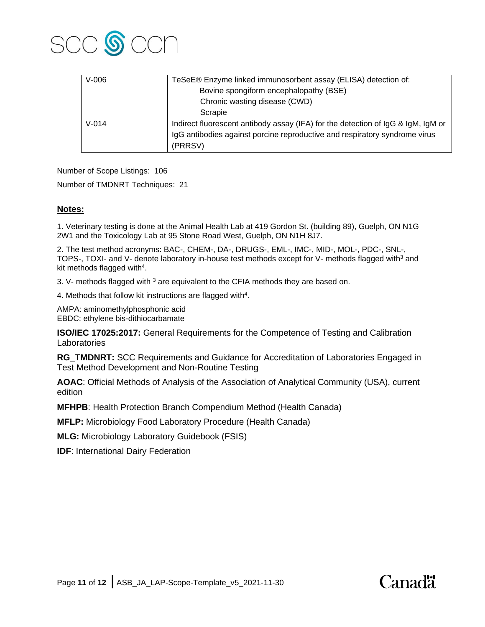

| $V-006$   | TeSeE® Enzyme linked immunosorbent assay (ELISA) detection of:                   |
|-----------|----------------------------------------------------------------------------------|
|           | Bovine spongiform encephalopathy (BSE)                                           |
|           | Chronic wasting disease (CWD)                                                    |
|           | Scrapie                                                                          |
| $V - 014$ | Indirect fluorescent antibody assay (IFA) for the detection of IgG & IgM, IgM or |
|           | IgG antibodies against porcine reproductive and respiratory syndrome virus       |
|           | (PRRSV)                                                                          |

Number of Scope Listings: 106

Number of TMDNRT Techniques: 21

#### **Notes:**

1. Veterinary testing is done at the Animal Health Lab at 419 Gordon St. (building 89), Guelph, ON N1G 2W1 and the Toxicology Lab at 95 Stone Road West, Guelph, ON N1H 8J7.

2. The test method acronyms: BAC-, CHEM-, DA-, DRUGS-, EML-, IMC-, MID-, MOL-, PDC-, SNL-, TOPS-, TOXI- and V- denote laboratory in-house test methods except for V- methods flagged with<sup>3</sup> and kit methods flagged with<sup>4</sup>.

3. V- methods flagged with <sup>3</sup> are equivalent to the CFIA methods they are based on.

4. Methods that follow kit instructions are flagged with<sup>4</sup>.

AMPA: aminomethylphosphonic acid EBDC: ethylene bis-dithiocarbamate

**ISO/IEC 17025:2017:** General Requirements for the Competence of Testing and Calibration Laboratories

**RG\_TMDNRT:** SCC Requirements and Guidance for Accreditation of Laboratories Engaged in Test Method Development and Non-Routine Testing

**AOAC**: Official Methods of Analysis of the Association of Analytical Community (USA), current edition

**MFHPB**: Health Protection Branch Compendium Method (Health Canada)

**MFLP:** Microbiology Food Laboratory Procedure (Health Canada)

**MLG:** Microbiology Laboratory Guidebook (FSIS)

**IDF: International Dairy Federation**